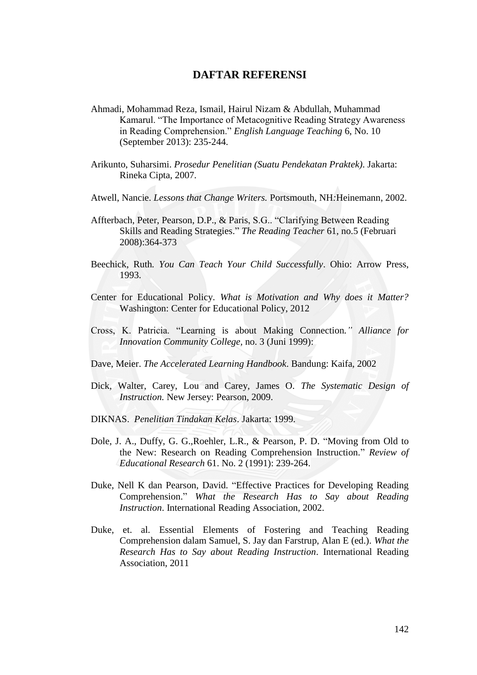## **DAFTAR REFERENSI**

- Ahmadi, Mohammad Reza, Ismail, Hairul Nizam & Abdullah, Muhammad Kamarul. "The Importance of Metacognitive Reading Strategy Awareness in Reading Comprehension." *English Language Teaching* 6, No. 10 (September 2013): 235-244.
- Arikunto, Suharsimi. *Prosedur Penelitian (Suatu Pendekatan Praktek)*. Jakarta: Rineka Cipta, 2007.
- Atwell, Nancie. *Lessons that Change Writers.* Portsmouth, NH*:*Heinemann, 2002.
- Affterbach, Peter, Pearson, D.P., & Paris, S.G.. "Clarifying Between Reading Skills and Reading Strategies." *The Reading Teacher* 61, no.5 (Februari 2008):364-373
- Beechick, Ruth*. You Can Teach Your Child Successfully*. Ohio: Arrow Press, 1993.
- Center for Educational Policy. *What is Motivation and Why does it Matter?* Washington: Center for Educational Policy, 2012
- Cross, K. Patricia. "Learning is about Making Connection*." Alliance for Innovation Community College,* no. 3 (Juni 1999):
- Dave, Meier. *The Accelerated Learning Handbook*. Bandung: Kaifa, 2002
- Dick, Walter, Carey, Lou and Carey, James O. *The Systematic Design of Instruction.* New Jersey: Pearson, 2009.
- DIKNAS. *Penelitian Tindakan Kelas*. Jakarta: 1999.
- Dole, J. A., Duffy, G. G.,Roehler, L.R., & Pearson, P. D. "Moving from Old to the New: Research on Reading Comprehension Instruction." *Review of Educational Research* 61. No. 2 (1991): 239-264.
- Duke, Nell K dan Pearson, David. "Effective Practices for Developing Reading Comprehension." *What the Research Has to Say about Reading Instruction*. International Reading Association, 2002.
- Duke, et. al. Essential Elements of Fostering and Teaching Reading Comprehension dalam Samuel, S. Jay dan Farstrup, Alan E (ed.). *What the Research Has to Say about Reading Instruction*. International Reading Association, 2011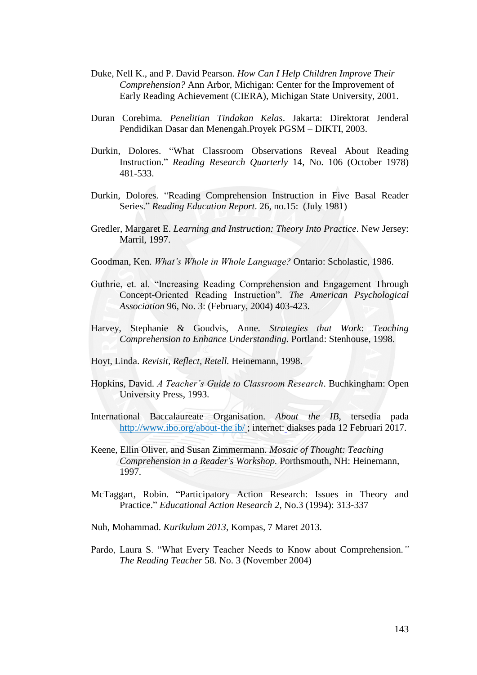- Duke, Nell K., and P. David Pearson. *How Can I Help Children Improve Their Comprehension?* Ann Arbor, Michigan: Center for the Improvement of Early Reading Achievement (CIERA), Michigan State University, 2001.
- Duran Corebima*. Penelitian Tindakan Kelas*. Jakarta: Direktorat Jenderal Pendidikan Dasar dan Menengah.Proyek PGSM – DIKTI, 2003.
- Durkin, Dolores. "What Classroom Observations Reveal About Reading Instruction." *Reading Research Quarterly* 14, No. 106 (October 1978) 481-533.
- Durkin, Dolores. "Reading Comprehension Instruction in Five Basal Reader Series." *Reading Education Report*. 26*,* no.15: (July 1981)
- Gredler, Margaret E. *Learning and Instruction: Theory Into Practice*. New Jersey: Marril, 1997.

Goodman, Ken. *What's Whole in Whole Language?* Ontario: Scholastic, 1986.

- Guthrie, et. al. "Increasing Reading Comprehension and Engagement Through Concept-Oriented Reading Instruction". *The American Psychological Association* 96, No. 3: (February, 2004) 403-423.
- Harvey, Stephanie & Goudvis, Anne*. Strategies that Work*: *Teaching Comprehension to Enhance Understanding.* Portland: Stenhouse, 1998.
- Hoyt, Linda. *Revisit, Reflect, Retell.* Heinemann, 1998.
- Hopkins, David. *A Teacher's Guide to Classroom Research*. Buchkingham: Open University Press, 1993.
- International Baccalaureate Organisation. *About the IB*, tersedia pada [http://www.ibo.org/about-the ib/](http://www.ibo.org/about-the%20ib/) ; internet: diakses pada 12 Februari 2017.
- Keene, Ellin Oliver, and Susan Zimmermann. *Mosaic of Thought: Teaching Comprehension in a Reader's Workshop.* Porthsmouth, NH: Heinemann, 1997.
- McTaggart, Robin. "Participatory Action Research: Issues in Theory and Practice." *Educational Action Research 2,* No.3 (1994): 313-337

Nuh, Mohammad. *Kurikulum 2013*, Kompas, 7 Maret 2013.

Pardo, Laura S. "What Every Teacher Needs to Know about Comprehension*." The Reading Teacher* 58*.* No. 3 (November 2004)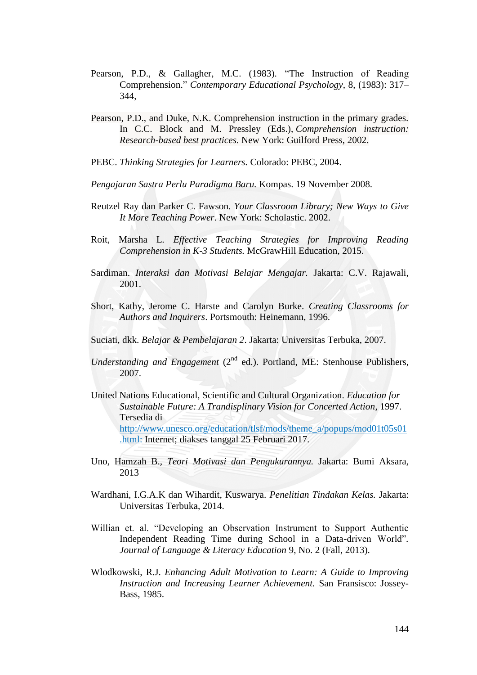- Pearson, P.D., & Gallagher, M.C. (1983). "The Instruction of Reading Comprehension." *Contemporary Educational Psychology*, 8, (1983): 317– 344,
- Pearson, P.D., and Duke, N.K. Comprehension instruction in the primary grades. In C.C. Block and M. Pressley (Eds.), *Comprehension instruction: Research-based best practices*. New York: Guilford Press, 2002.
- PEBC. *Thinking Strategies for Learners.* Colorado: PEBC, 2004.

*Pengajaran Sastra Perlu Paradigma Baru.* Kompas. 19 November 2008.

- Reutzel Ray dan Parker C. Fawson. *Your Classroom Library; New Ways to Give It More Teaching Power*. New York: Scholastic. 2002.
- Roit, Marsha L. *Effective Teaching Strategies for Improving Reading Comprehension in K-3 Students.* McGrawHill Education, 2015.
- Sardiman. *Interaksi dan Motivasi Belajar Mengajar.* Jakarta: C.V. Rajawali, 2001.
- Short, Kathy, Jerome C. Harste and Carolyn Burke. *Creating Classrooms for Authors and Inquirers*. Portsmouth: Heinemann, 1996.
- Suciati, dkk. *Belajar & Pembelajaran 2*. Jakarta: Universitas Terbuka, 2007.
- *Understanding and Engagement (2<sup>nd</sup> ed.). Portland, ME: Stenhouse Publishers,* 2007.
- United Nations Educational, Scientific and Cultural Organization. *Education for Sustainable Future: A Trandisplinary Vision for Concerted Action*, 1997. Tersedia di [http://www.unesco.org/education/tlsf/mods/theme\\_a/popups/mod01t05s01](http://www.unesco.org/education/tlsf/mods/theme_a/popups/mod01t05s01.html) [.html:](http://www.unesco.org/education/tlsf/mods/theme_a/popups/mod01t05s01.html) Internet; diakses tanggal 25 Februari 2017.
- Uno, Hamzah B., *Teori Motivasi dan Pengukurannya.* Jakarta: Bumi Aksara, 2013
- Wardhani, I.G.A.K dan Wihardit, Kuswarya. *Penelitian Tindakan Kelas.* Jakarta: Universitas Terbuka, 2014.
- Willian et. al. "Developing an Observation Instrument to Support Authentic Independent Reading Time during School in a Data-driven World"*. Journal of Language & Literacy Education* 9, No. 2 (Fall, 2013).
- Wlodkowski, R.J. *Enhancing Adult Motivation to Learn: A Guide to Improving Instruction and Increasing Learner Achievement.* San Fransisco: Jossey-Bass, 1985.